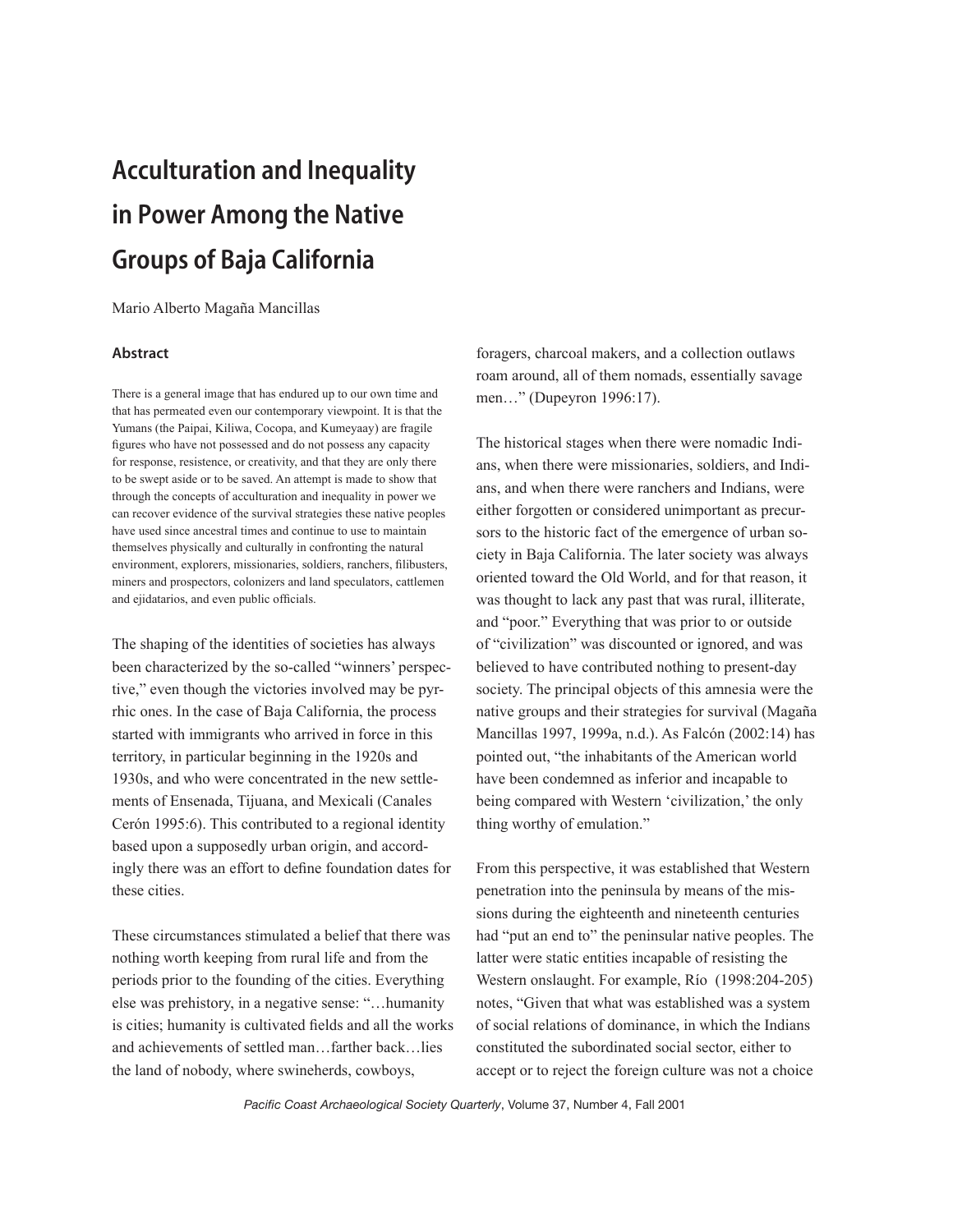## Acculturation and Inequality in Power Among the Native Groups of Baja California

Mario Alberto Magaña Mancillas

## Abstract

There is a general image that has endured up to our own time and that has permeated even our contemporary viewpoint. It is that the Yumans (the Paipai, Kiliwa, Cocopa, and Kumeyaay) are fragile figures who have not possessed and do not possess any capacity for response, resistence, or creativity, and that they are only there to be swept aside or to be saved. An attempt is made to show that through the concepts of acculturation and inequality in power we can recover evidence of the survival strategies these native peoples have used since ancestral times and continue to use to maintain themselves physically and culturally in confronting the natural environment, explorers, missionaries, soldiers, ranchers, filibusters, miners and prospectors, colonizers and land speculators, cattlemen and ejidatarios, and even public officials.

The shaping of the identities of societies has always been characterized by the so-called "winners' perspective," even though the victories involved may be pyrrhic ones. In the case of Baja California, the process started with immigrants who arrived in force in this territory, in particular beginning in the 1920s and 1930s, and who were concentrated in the new settlements of Ensenada, Tijuana, and Mexicali (Canales Cerón 1995:6). This contributed to a regional identity based upon a supposedly urban origin, and accordingly there was an effort to define foundation dates for these cities.

These circumstances stimulated a belief that there was nothing worth keeping from rural life and from the periods prior to the founding of the cities. Everything else was prehistory, in a negative sense: "…humanity is cities; humanity is cultivated fields and all the works and achievements of settled man…farther back…lies the land of nobody, where swineherds, cowboys,

foragers, charcoal makers, and a collection outlaws roam around, all of them nomads, essentially savage men…" (Dupeyron 1996:17).

The historical stages when there were nomadic Indians, when there were missionaries, soldiers, and Indians, and when there were ranchers and Indians, were either forgotten or considered unimportant as precursors to the historic fact of the emergence of urban society in Baja California. The later society was always oriented toward the Old World, and for that reason, it was thought to lack any past that was rural, illiterate, and "poor." Everything that was prior to or outside of "civilization" was discounted or ignored, and was believed to have contributed nothing to present-day society. The principal objects of this amnesia were the native groups and their strategies for survival (Magaña Mancillas 1997, 1999a, n.d.). As Falcón (2002:14) has pointed out, "the inhabitants of the American world have been condemned as inferior and incapable to being compared with Western 'civilization,' the only thing worthy of emulation."

From this perspective, it was established that Western penetration into the peninsula by means of the missions during the eighteenth and nineteenth centuries had "put an end to" the peninsular native peoples. The latter were static entities incapable of resisting the Western onslaught. For example, Río (1998:204-205) notes, "Given that what was established was a system of social relations of dominance, in which the Indians constituted the subordinated social sector, either to accept or to reject the foreign culture was not a choice

*Pacific Coast Archaeological Society Quarterly*, Volume 37, Number 4, Fall 2001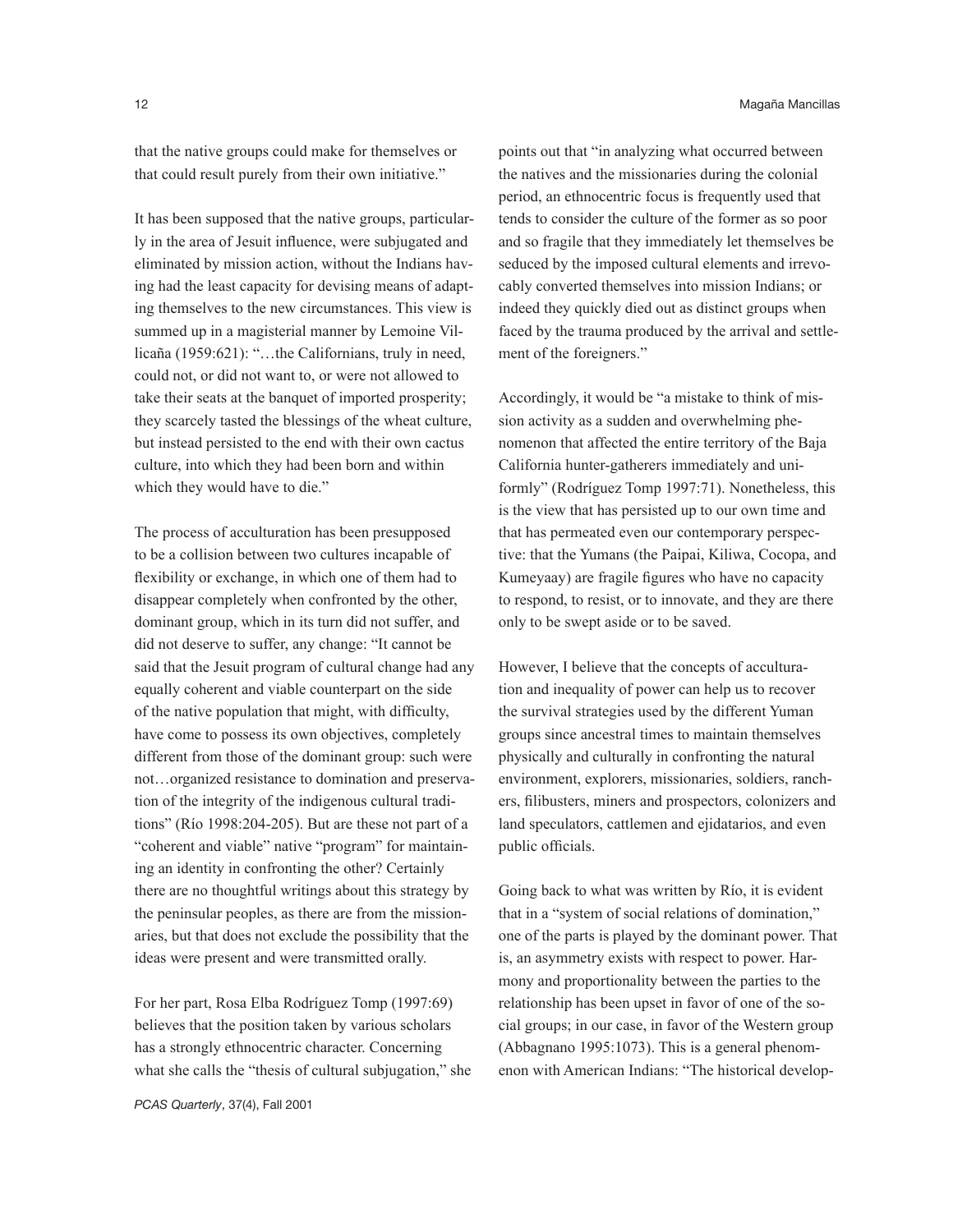that the native groups could make for themselves or that could result purely from their own initiative."

It has been supposed that the native groups, particularly in the area of Jesuit influence, were subjugated and eliminated by mission action, without the Indians having had the least capacity for devising means of adapting themselves to the new circumstances. This view is summed up in a magisterial manner by Lemoine Villicaña (1959:621): "…the Californians, truly in need, could not, or did not want to, or were not allowed to take their seats at the banquet of imported prosperity; they scarcely tasted the blessings of the wheat culture, but instead persisted to the end with their own cactus culture, into which they had been born and within which they would have to die."

The process of acculturation has been presupposed to be a collision between two cultures incapable of flexibility or exchange, in which one of them had to disappear completely when confronted by the other, dominant group, which in its turn did not suffer, and did not deserve to suffer, any change: "It cannot be said that the Jesuit program of cultural change had any equally coherent and viable counterpart on the side of the native population that might, with difficulty, have come to possess its own objectives, completely different from those of the dominant group: such were not…organized resistance to domination and preservation of the integrity of the indigenous cultural traditions" (Río 1998:204-205). But are these not part of a "coherent and viable" native "program" for maintaining an identity in confronting the other? Certainly there are no thoughtful writings about this strategy by the peninsular peoples, as there are from the missionaries, but that does not exclude the possibility that the ideas were present and were transmitted orally.

For her part, Rosa Elba Rodríguez Tomp (1997:69) believes that the position taken by various scholars has a strongly ethnocentric character. Concerning what she calls the "thesis of cultural subjugation," she

*PCAS Quarterly*, 37(4), Fall 2001

points out that "in analyzing what occurred between the natives and the missionaries during the colonial period, an ethnocentric focus is frequently used that tends to consider the culture of the former as so poor and so fragile that they immediately let themselves be seduced by the imposed cultural elements and irrevocably converted themselves into mission Indians; or indeed they quickly died out as distinct groups when faced by the trauma produced by the arrival and settlement of the foreigners."

Accordingly, it would be "a mistake to think of mission activity as a sudden and overwhelming phenomenon that affected the entire territory of the Baja California hunter-gatherers immediately and uniformly" (Rodríguez Tomp 1997:71). Nonetheless, this is the view that has persisted up to our own time and that has permeated even our contemporary perspective: that the Yumans (the Paipai, Kiliwa, Cocopa, and Kumeyaay) are fragile figures who have no capacity to respond, to resist, or to innovate, and they are there only to be swept aside or to be saved.

However, I believe that the concepts of acculturation and inequality of power can help us to recover the survival strategies used by the different Yuman groups since ancestral times to maintain themselves physically and culturally in confronting the natural environment, explorers, missionaries, soldiers, ranchers, filibusters, miners and prospectors, colonizers and land speculators, cattlemen and ejidatarios, and even public officials.

Going back to what was written by Río, it is evident that in a "system of social relations of domination," one of the parts is played by the dominant power. That is, an asymmetry exists with respect to power. Harmony and proportionality between the parties to the relationship has been upset in favor of one of the social groups; in our case, in favor of the Western group (Abbagnano 1995:1073). This is a general phenomenon with American Indians: "The historical develop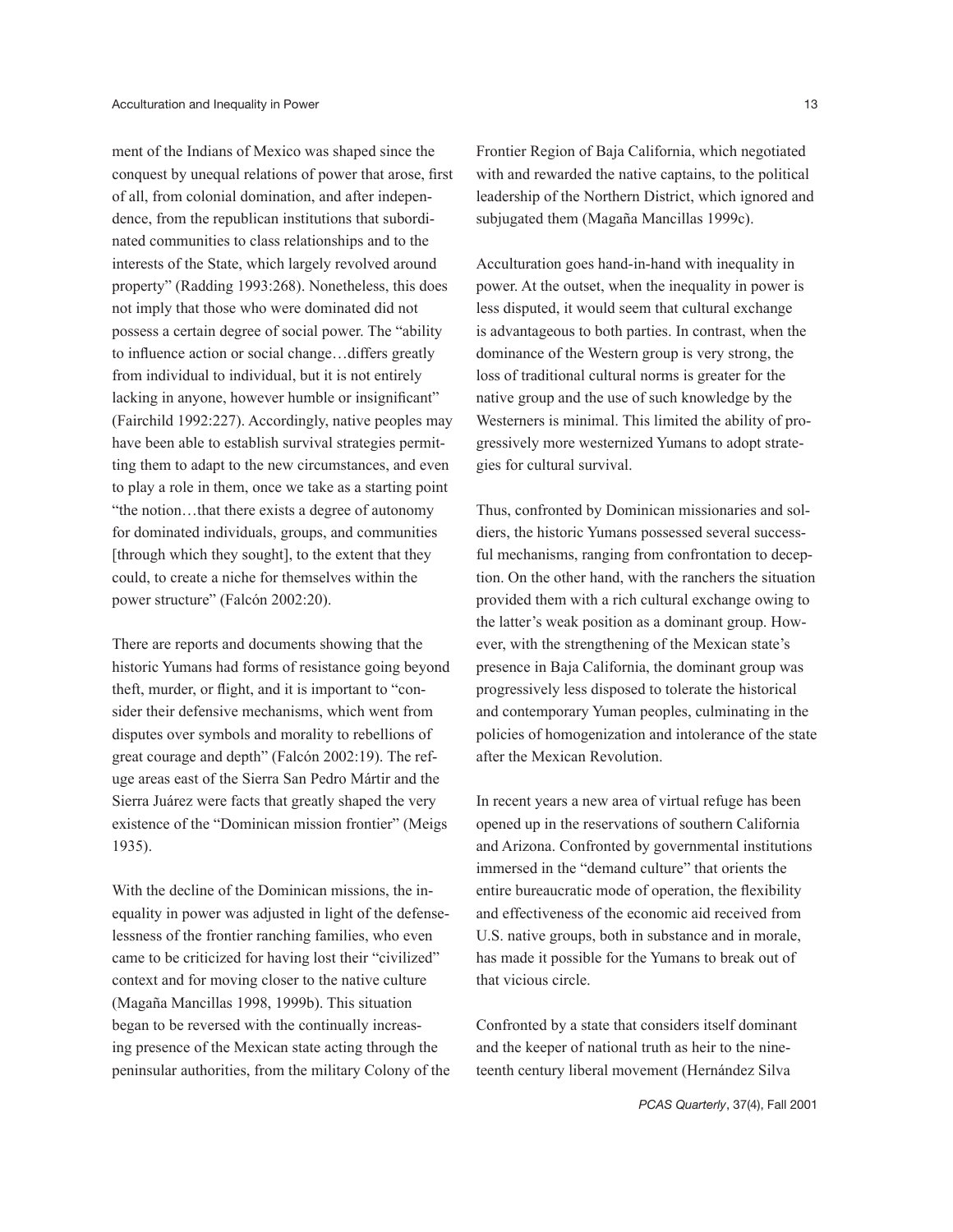ment of the Indians of Mexico was shaped since the conquest by unequal relations of power that arose, first of all, from colonial domination, and after independence, from the republican institutions that subordinated communities to class relationships and to the interests of the State, which largely revolved around property" (Radding 1993:268). Nonetheless, this does not imply that those who were dominated did not possess a certain degree of social power. The "ability to influence action or social change…differs greatly from individual to individual, but it is not entirely lacking in anyone, however humble or insignificant" (Fairchild 1992:227). Accordingly, native peoples may have been able to establish survival strategies permitting them to adapt to the new circumstances, and even to play a role in them, once we take as a starting point "the notion…that there exists a degree of autonomy for dominated individuals, groups, and communities [through which they sought], to the extent that they could, to create a niche for themselves within the power structure" (Falcón 2002:20).

There are reports and documents showing that the historic Yumans had forms of resistance going beyond theft, murder, or flight, and it is important to "consider their defensive mechanisms, which went from disputes over symbols and morality to rebellions of great courage and depth" (Falcón 2002:19). The refuge areas east of the Sierra San Pedro Mártir and the Sierra Juárez were facts that greatly shaped the very existence of the "Dominican mission frontier" (Meigs 1935).

With the decline of the Dominican missions, the inequality in power was adjusted in light of the defenselessness of the frontier ranching families, who even came to be criticized for having lost their "civilized" context and for moving closer to the native culture (Magaña Mancillas 1998, 1999b). This situation began to be reversed with the continually increasing presence of the Mexican state acting through the peninsular authorities, from the military Colony of the Frontier Region of Baja California, which negotiated with and rewarded the native captains, to the political leadership of the Northern District, which ignored and subjugated them (Magaña Mancillas 1999c).

Acculturation goes hand-in-hand with inequality in power. At the outset, when the inequality in power is less disputed, it would seem that cultural exchange is advantageous to both parties. In contrast, when the dominance of the Western group is very strong, the loss of traditional cultural norms is greater for the native group and the use of such knowledge by the Westerners is minimal. This limited the ability of progressively more westernized Yumans to adopt strategies for cultural survival.

Thus, confronted by Dominican missionaries and soldiers, the historic Yumans possessed several successful mechanisms, ranging from confrontation to deception. On the other hand, with the ranchers the situation provided them with a rich cultural exchange owing to the latter's weak position as a dominant group. However, with the strengthening of the Mexican state's presence in Baja California, the dominant group was progressively less disposed to tolerate the historical and contemporary Yuman peoples, culminating in the policies of homogenization and intolerance of the state after the Mexican Revolution.

In recent years a new area of virtual refuge has been opened up in the reservations of southern California and Arizona. Confronted by governmental institutions immersed in the "demand culture" that orients the entire bureaucratic mode of operation, the flexibility and effectiveness of the economic aid received from U.S. native groups, both in substance and in morale, has made it possible for the Yumans to break out of that vicious circle.

Confronted by a state that considers itself dominant and the keeper of national truth as heir to the nineteenth century liberal movement (Hernández Silva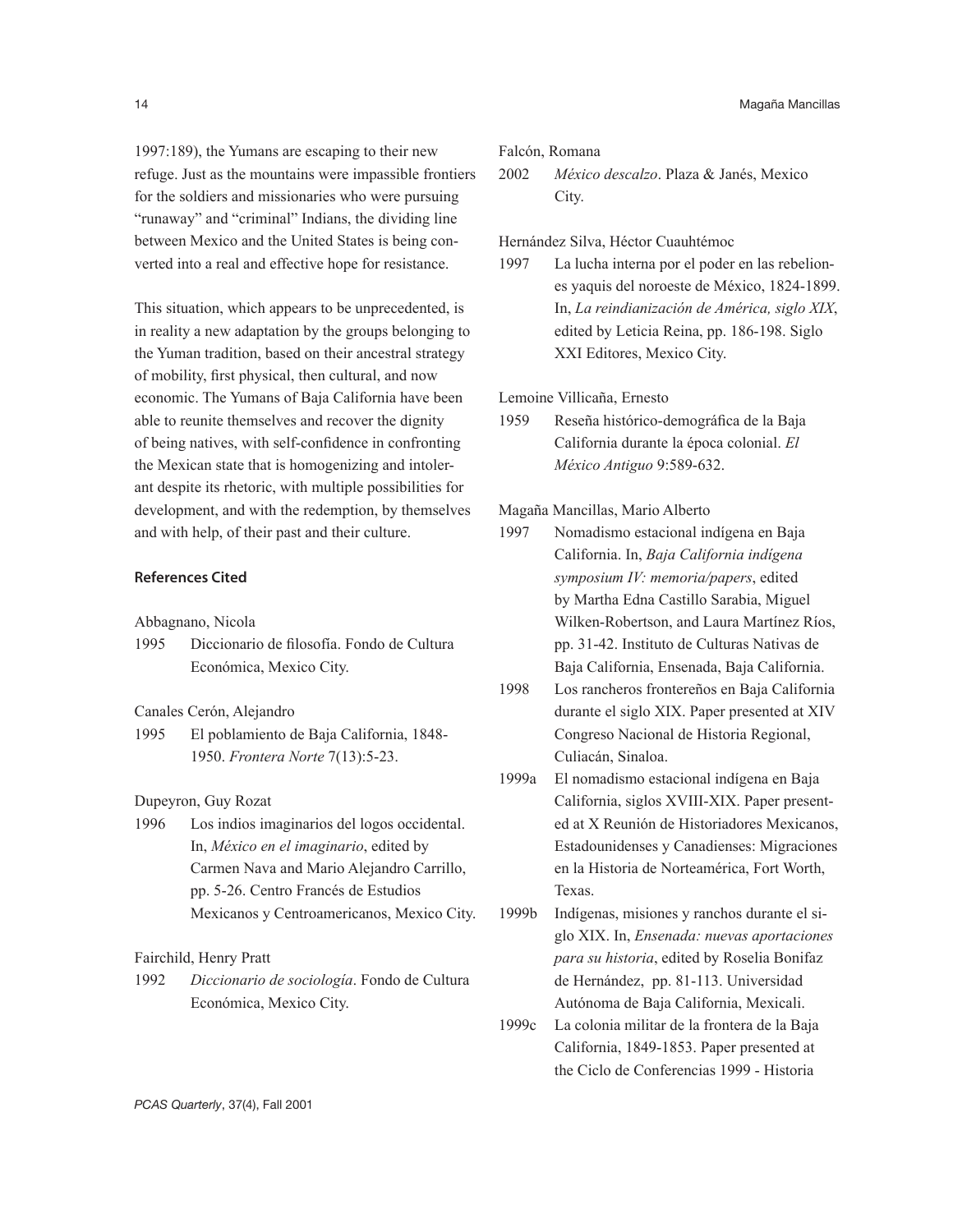14 Magaña Mancillas

1997:189), the Yumans are escaping to their new refuge. Just as the mountains were impassible frontiers for the soldiers and missionaries who were pursuing "runaway" and "criminal" Indians, the dividing line between Mexico and the United States is being converted into a real and effective hope for resistance.

This situation, which appears to be unprecedented, is in reality a new adaptation by the groups belonging to the Yuman tradition, based on their ancestral strategy of mobility, first physical, then cultural, and now economic. The Yumans of Baja California have been able to reunite themselves and recover the dignity of being natives, with self-confidence in confronting the Mexican state that is homogenizing and intolerant despite its rhetoric, with multiple possibilities for development, and with the redemption, by themselves and with help, of their past and their culture.

## References Cited

Abbagnano, Nicola

1995 Diccionario de filosofía. Fondo de Cultura Económica, Mexico City.

Canales Cerón, Alejandro

1995 El poblamiento de Baja California, 1848- 1950. *Frontera Norte* 7(13):5-23.

Dupeyron, Guy Rozat

1996 Los indios imaginarios del logos occidental. In, *México en el imaginario*, edited by Carmen Nava and Mario Alejandro Carrillo, pp. 5-26. Centro Francés de Estudios Mexicanos y Centroamericanos, Mexico City.

Fairchild, Henry Pratt

1992 *Diccionario de sociología*. Fondo de Cultura Económica, Mexico City.

Falcón, Romana

2002 *México descalzo*. Plaza & Janés, Mexico City.

Hernández Silva, Héctor Cuauhtémoc

1997 La lucha interna por el poder en las rebeliones yaquis del noroeste de México, 1824-1899. In, *La reindianización de América, siglo XIX*, edited by Leticia Reina, pp. 186-198. Siglo XXI Editores, Mexico City.

Lemoine Villicaña, Ernesto

1959 Reseña histórico-demográfica de la Baja California durante la época colonial. *El México Antiguo* 9:589-632.

Magaña Mancillas, Mario Alberto

- 1997 Nomadismo estacional indígena en Baja California. In, *Baja California indígena symposium IV: memoria/papers*, edited by Martha Edna Castillo Sarabia, Miguel Wilken-Robertson, and Laura Martínez Ríos, pp. 31-42. Instituto de Culturas Nativas de Baja California, Ensenada, Baja California.
- 1998 Los rancheros frontereños en Baja California durante el siglo XIX. Paper presented at XIV Congreso Nacional de Historia Regional, Culiacán, Sinaloa.
- 1999a El nomadismo estacional indígena en Baja California, siglos XVIII-XIX. Paper presented at X Reunión de Historiadores Mexicanos, Estadounidenses y Canadienses: Migraciones en la Historia de Norteamérica, Fort Worth, Texas.
- 1999b Indígenas, misiones y ranchos durante el siglo XIX. In, *Ensenada: nuevas aportaciones para su historia*, edited by Roselia Bonifaz de Hernández, pp. 81-113. Universidad Autónoma de Baja California, Mexicali.
- 1999c La colonia militar de la frontera de la Baja California, 1849-1853. Paper presented at the Ciclo de Conferencias 1999 - Historia